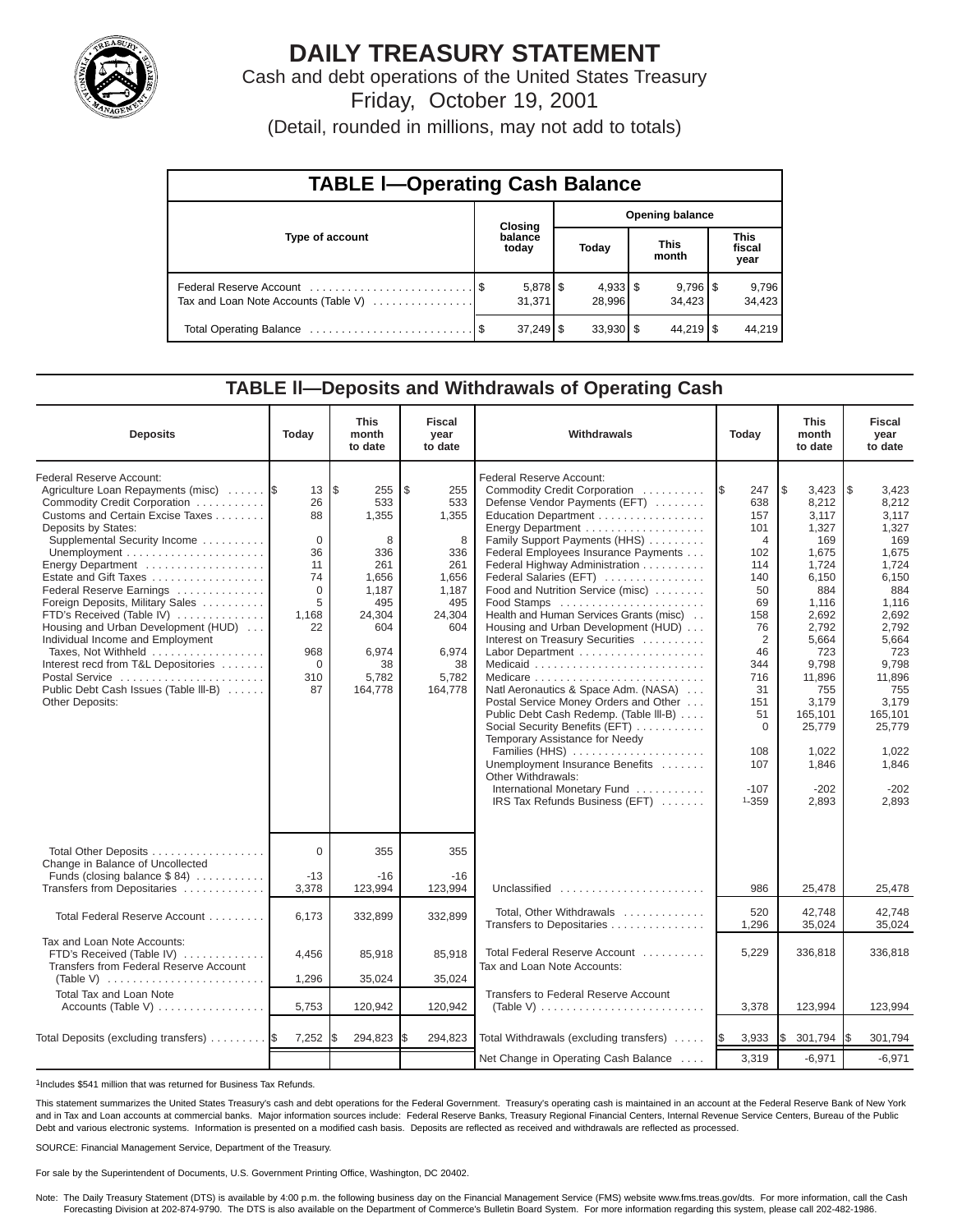

# **DAILY TREASURY STATEMENT**

Cash and debt operations of the United States Treasury Friday, October 19, 2001

(Detail, rounded in millions, may not add to totals)

| <b>TABLE I-Operating Cash Balance</b> |  |                      |                        |                      |  |                                 |  |                               |  |  |
|---------------------------------------|--|----------------------|------------------------|----------------------|--|---------------------------------|--|-------------------------------|--|--|
|                                       |  | Closing              | <b>Opening balance</b> |                      |  |                                 |  |                               |  |  |
| Type of account                       |  | balance<br>today     |                        | Today                |  | <b>This</b><br>month            |  | <b>This</b><br>fiscal<br>year |  |  |
| Tax and Loan Note Accounts (Table V)  |  | $5,878$ \$<br>31.371 |                        | $4,933$ \$<br>28.996 |  | $9,796$ $\frac{8}{3}$<br>34.423 |  | 9,796<br>34,423               |  |  |
|                                       |  | $37,249$ \$          |                        | $33,930$ \$          |  | $44,219$ $\sqrt{5}$             |  | 44.219                        |  |  |

## **TABLE ll—Deposits and Withdrawals of Operating Cash**

| <b>Deposits</b>                                                                                                                                                                                                                                                                                                                                                                                                                                                                                                                                                    | Today                                                                                                        | <b>This</b><br>month<br>to date                                                                                            | <b>Fiscal</b><br>year<br>to date                                                                                          | Withdrawals                                                                                                                                                                                                                                                                                                                                                                                                                                                                                                                                                                                                                                                                                                                                                                                                | Today                                                                                                                                                                                        | <b>This</b><br>month<br>to date                                                                                                                                                                                          | <b>Fiscal</b><br>year<br>to date                                                                                                                                                                                         |
|--------------------------------------------------------------------------------------------------------------------------------------------------------------------------------------------------------------------------------------------------------------------------------------------------------------------------------------------------------------------------------------------------------------------------------------------------------------------------------------------------------------------------------------------------------------------|--------------------------------------------------------------------------------------------------------------|----------------------------------------------------------------------------------------------------------------------------|---------------------------------------------------------------------------------------------------------------------------|------------------------------------------------------------------------------------------------------------------------------------------------------------------------------------------------------------------------------------------------------------------------------------------------------------------------------------------------------------------------------------------------------------------------------------------------------------------------------------------------------------------------------------------------------------------------------------------------------------------------------------------------------------------------------------------------------------------------------------------------------------------------------------------------------------|----------------------------------------------------------------------------------------------------------------------------------------------------------------------------------------------|--------------------------------------------------------------------------------------------------------------------------------------------------------------------------------------------------------------------------|--------------------------------------------------------------------------------------------------------------------------------------------------------------------------------------------------------------------------|
| Federal Reserve Account:<br>Agriculture Loan Repayments (misc)<br>Commodity Credit Corporation<br>Customs and Certain Excise Taxes<br>Deposits by States:<br>Supplemental Security Income<br>Energy Department<br>Estate and Gift Taxes<br>Federal Reserve Earnings<br>Foreign Deposits, Military Sales<br>FTD's Received (Table IV)<br>Housing and Urban Development (HUD)<br>Individual Income and Employment<br>Taxes, Not Withheld<br>Interest recd from T&L Depositories<br>Postal Service<br>Public Debt Cash Issues (Table III-B)<br><b>Other Deposits:</b> | 13<br>26<br>88<br>$\Omega$<br>36<br>11<br>74<br>$\Omega$<br>5<br>1,168<br>22<br>968<br>$\Omega$<br>310<br>87 | l\$<br>255<br>533<br>1,355<br>8<br>336<br>261<br>1.656<br>1,187<br>495<br>24,304<br>604<br>6,974<br>38<br>5,782<br>164,778 | \$<br>255<br>533<br>1,355<br>8<br>336<br>261<br>1.656<br>1,187<br>495<br>24,304<br>604<br>6,974<br>38<br>5,782<br>164,778 | Federal Reserve Account:<br>Commodity Credit Corporation<br>Defense Vendor Payments (EFT)<br>Education Department<br>Family Support Payments (HHS)<br>Federal Employees Insurance Payments<br>Federal Highway Administration<br>Federal Salaries (EFT)<br>Food and Nutrition Service (misc)<br>Food Stamps<br>Health and Human Services Grants (misc)<br>Housing and Urban Development (HUD)<br>Interest on Treasury Securities<br>Labor Department<br>Medicare<br>Natl Aeronautics & Space Adm. (NASA)<br>Postal Service Money Orders and Other<br>Public Debt Cash Redemp. (Table III-B)<br>Social Security Benefits (EFT)<br>Temporary Assistance for Needy<br>Families (HHS)<br>Unemployment Insurance Benefits<br>Other Withdrawals:<br>International Monetary Fund<br>IRS Tax Refunds Business (EFT) | 1\$<br>247<br>638<br>157<br>101<br>$\overline{4}$<br>102<br>114<br>140<br>50<br>69<br>158<br>76<br>2<br>46<br>344<br>716<br>31<br>151<br>51<br>$\Omega$<br>108<br>107<br>$-107$<br>$1 - 359$ | l\$<br>3,423<br>8,212<br>3.117<br>1,327<br>169<br>1,675<br>1,724<br>6.150<br>884<br>1,116<br>2,692<br>2,792<br>5,664<br>723<br>9,798<br>11,896<br>755<br>3,179<br>165,101<br>25,779<br>1,022<br>1,846<br>$-202$<br>2,893 | 1\$<br>3,423<br>8,212<br>3,117<br>1,327<br>169<br>1,675<br>1,724<br>6,150<br>884<br>1,116<br>2,692<br>2,792<br>5,664<br>723<br>9,798<br>11,896<br>755<br>3.179<br>165,101<br>25,779<br>1,022<br>1,846<br>$-202$<br>2,893 |
| Total Other Deposits<br>Change in Balance of Uncollected<br>Funds (closing balance $$84)$                                                                                                                                                                                                                                                                                                                                                                                                                                                                          | $\Omega$<br>$-13$                                                                                            | 355<br>$-16$                                                                                                               | 355<br>$-16$                                                                                                              |                                                                                                                                                                                                                                                                                                                                                                                                                                                                                                                                                                                                                                                                                                                                                                                                            |                                                                                                                                                                                              |                                                                                                                                                                                                                          |                                                                                                                                                                                                                          |
| Transfers from Depositaries                                                                                                                                                                                                                                                                                                                                                                                                                                                                                                                                        | 3,378                                                                                                        | 123,994                                                                                                                    | 123,994                                                                                                                   | Unclassified                                                                                                                                                                                                                                                                                                                                                                                                                                                                                                                                                                                                                                                                                                                                                                                               | 986                                                                                                                                                                                          | 25,478                                                                                                                                                                                                                   | 25,478                                                                                                                                                                                                                   |
| Total Federal Reserve Account                                                                                                                                                                                                                                                                                                                                                                                                                                                                                                                                      | 6,173                                                                                                        | 332,899                                                                                                                    | 332,899                                                                                                                   | Total, Other Withdrawals<br>Transfers to Depositaries                                                                                                                                                                                                                                                                                                                                                                                                                                                                                                                                                                                                                                                                                                                                                      | 520<br>1,296                                                                                                                                                                                 | 42.748<br>35,024                                                                                                                                                                                                         | 42.748<br>35,024                                                                                                                                                                                                         |
| Tax and Loan Note Accounts:<br>FTD's Received (Table IV)<br>Transfers from Federal Reserve Account                                                                                                                                                                                                                                                                                                                                                                                                                                                                 | 4,456                                                                                                        | 85,918                                                                                                                     | 85,918                                                                                                                    | Total Federal Reserve Account<br>Tax and Loan Note Accounts:                                                                                                                                                                                                                                                                                                                                                                                                                                                                                                                                                                                                                                                                                                                                               | 5,229                                                                                                                                                                                        | 336,818                                                                                                                                                                                                                  | 336,818                                                                                                                                                                                                                  |
| (Table V) $\ldots \ldots \ldots \ldots \ldots \ldots \ldots \ldots$                                                                                                                                                                                                                                                                                                                                                                                                                                                                                                | 1,296                                                                                                        | 35,024                                                                                                                     | 35,024                                                                                                                    |                                                                                                                                                                                                                                                                                                                                                                                                                                                                                                                                                                                                                                                                                                                                                                                                            |                                                                                                                                                                                              |                                                                                                                                                                                                                          |                                                                                                                                                                                                                          |
| <b>Total Tax and Loan Note</b><br>Accounts (Table V)                                                                                                                                                                                                                                                                                                                                                                                                                                                                                                               | 5,753                                                                                                        | 120,942                                                                                                                    | 120,942                                                                                                                   | Transfers to Federal Reserve Account<br>(Table V) $\ldots \ldots \ldots \ldots \ldots \ldots \ldots \ldots$                                                                                                                                                                                                                                                                                                                                                                                                                                                                                                                                                                                                                                                                                                | 3,378                                                                                                                                                                                        | 123,994                                                                                                                                                                                                                  | 123,994                                                                                                                                                                                                                  |
| Total Deposits (excluding transfers)                                                                                                                                                                                                                                                                                                                                                                                                                                                                                                                               | 7,252                                                                                                        | 294,823                                                                                                                    | 294,823<br>l\$                                                                                                            | Total Withdrawals (excluding transfers)                                                                                                                                                                                                                                                                                                                                                                                                                                                                                                                                                                                                                                                                                                                                                                    | 3,933<br><b>IS</b>                                                                                                                                                                           | \$<br>301,794                                                                                                                                                                                                            | 301,794                                                                                                                                                                                                                  |
|                                                                                                                                                                                                                                                                                                                                                                                                                                                                                                                                                                    |                                                                                                              |                                                                                                                            |                                                                                                                           | Net Change in Operating Cash Balance                                                                                                                                                                                                                                                                                                                                                                                                                                                                                                                                                                                                                                                                                                                                                                       | 3,319                                                                                                                                                                                        | $-6,971$                                                                                                                                                                                                                 | $-6,971$                                                                                                                                                                                                                 |

1Includes \$541 million that was returned for Business Tax Refunds.

This statement summarizes the United States Treasury's cash and debt operations for the Federal Government. Treasury's operating cash is maintained in an account at the Federal Reserve Bank of New York and in Tax and Loan accounts at commercial banks. Major information sources include: Federal Reserve Banks, Treasury Regional Financial Centers, Internal Revenue Service Centers, Bureau of the Public Debt and various electronic systems. Information is presented on a modified cash basis. Deposits are reflected as received and withdrawals are reflected as processed.

SOURCE: Financial Management Service, Department of the Treasury.

For sale by the Superintendent of Documents, U.S. Government Printing Office, Washington, DC 20402.

Note: The Daily Treasury Statement (DTS) is available by 4:00 p.m. the following business day on the Financial Management Service (FMS) website www.fms.treas.gov/dts. For more information, call the Cash<br>Forecasting Divisio